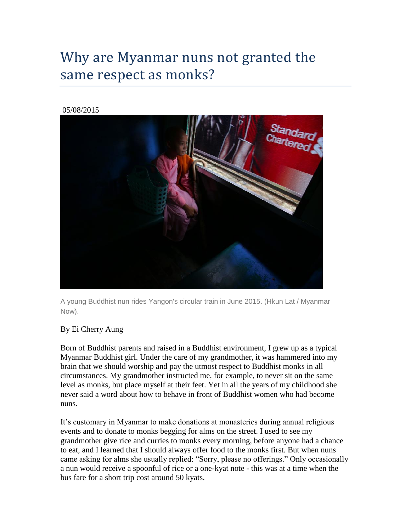# Why are Myanmar nuns not granted the same respect as monks?

#### 05/08/2015



A young Buddhist nun rides Yangon's circular train in June 2015. (Hkun Lat / Myanmar Now).

## By Ei Cherry Aung

Born of Buddhist parents and raised in a Buddhist environment, I grew up as a typical Myanmar Buddhist girl. Under the care of my grandmother, it was hammered into my brain that we should worship and pay the utmost respect to Buddhist monks in all circumstances. My grandmother instructed me, for example, to never sit on the same level as monks, but place myself at their feet. Yet in all the years of my childhood she never said a word about how to behave in front of Buddhist women who had become nuns.

It's customary in Myanmar to make donations at monasteries during annual religious events and to donate to monks begging for alms on the street. I used to see my grandmother give rice and curries to monks every morning, before anyone had a chance to eat, and I learned that I should always offer food to the monks first. But when nuns came asking for alms she usually replied: "Sorry, please no offerings." Only occasionally a nun would receive a spoonful of rice or a one-kyat note - this was at a time when the bus fare for a short trip cost around 50 kyats.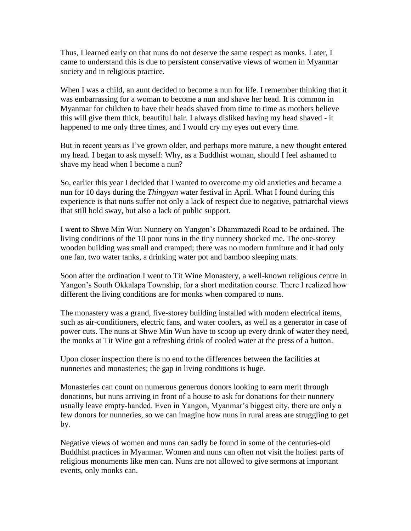Thus, I learned early on that nuns do not deserve the same respect as monks. Later, I came to understand this is due to persistent conservative views of women in Myanmar society and in religious practice.

When I was a child, an aunt decided to become a nun for life. I remember thinking that it was embarrassing for a woman to become a nun and shave her head. It is common in Myanmar for children to have their heads shaved from time to time as mothers believe this will give them thick, beautiful hair. I always disliked having my head shaved - it happened to me only three times, and I would cry my eyes out every time.

But in recent years as I've grown older, and perhaps more mature, a new thought entered my head. I began to ask myself: Why, as a Buddhist woman, should I feel ashamed to shave my head when I become a nun?

So, earlier this year I decided that I wanted to overcome my old anxieties and became a nun for 10 days during the *Thingyan* water festival in April. What I found during this experience is that nuns suffer not only a lack of respect due to negative, patriarchal views that still hold sway, but also a lack of public support.

I went to Shwe Min Wun Nunnery on Yangon's Dhammazedi Road to be ordained. The living conditions of the 10 poor nuns in the tiny nunnery shocked me. The one-storey wooden building was small and cramped; there was no modern furniture and it had only one fan, two water tanks, a drinking water pot and bamboo sleeping mats.

Soon after the ordination I went to Tit Wine Monastery, a well-known religious centre in Yangon's South Okkalapa Township, for a short meditation course. There I realized how different the living conditions are for monks when compared to nuns.

The monastery was a grand, five-storey building installed with modern electrical items, such as air-conditioners, electric fans, and water coolers, as well as a generator in case of power cuts. The nuns at Shwe Min Wun have to scoop up every drink of water they need, the monks at Tit Wine got a refreshing drink of cooled water at the press of a button.

Upon closer inspection there is no end to the differences between the facilities at nunneries and monasteries; the gap in living conditions is huge.

Monasteries can count on numerous generous donors looking to earn merit through donations, but nuns arriving in front of a house to ask for donations for their nunnery usually leave empty-handed. Even in Yangon, Myanmar's biggest city, there are only a few donors for nunneries, so we can imagine how nuns in rural areas are struggling to get by.

Negative views of women and nuns can sadly be found in some of the centuries-old Buddhist practices in Myanmar. Women and nuns can often not visit the holiest parts of religious monuments like men can. Nuns are not allowed to give sermons at important events, only monks can.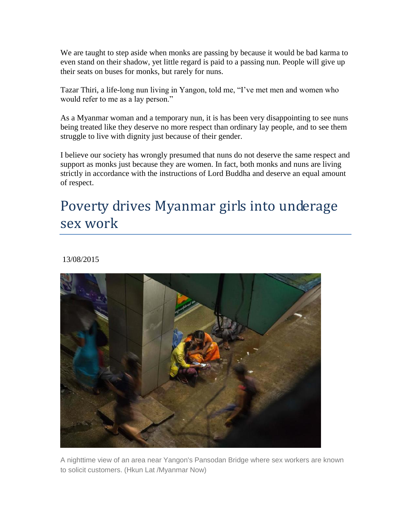We are taught to step aside when monks are passing by because it would be bad karma to even stand on their shadow, yet little regard is paid to a passing nun. People will give up their seats on buses for monks, but rarely for nuns.

Tazar Thiri, a life-long nun living in Yangon, told me, "I've met men and women who would refer to me as a lay person."

As a Myanmar woman and a temporary nun, it is has been very disappointing to see nuns being treated like they deserve no more respect than ordinary lay people, and to see them struggle to live with dignity just because of their gender.

I believe our society has wrongly presumed that nuns do not deserve the same respect and support as monks just because they are women. In fact, both monks and nuns are living strictly in accordance with the instructions of Lord Buddha and deserve an equal amount of respect.

# Poverty drives Myanmar girls into underage sex work

## 13/08/2015



A nighttime view of an area near Yangon's Pansodan Bridge where sex workers are known to solicit customers. (Hkun Lat /Myanmar Now)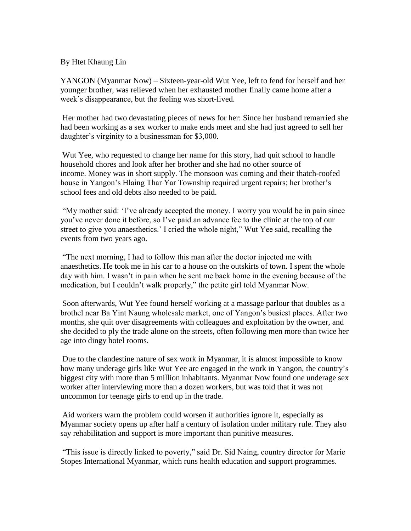## By Htet Khaung Lin

YANGON (Myanmar Now) – Sixteen-year-old Wut Yee, left to fend for herself and her younger brother, was relieved when her exhausted mother finally came home after a week's disappearance, but the feeling was short-lived.

Her mother had two devastating pieces of news for her: Since her husband remarried she had been working as a sex worker to make ends meet and she had just agreed to sell her daughter's virginity to a businessman for \$3,000.

Wut Yee, who requested to change her name for this story, had quit school to handle household chores and look after her brother and she had no other source of income. Money was in short supply. The monsoon was coming and their thatch-roofed house in Yangon's Hlaing Thar Yar Township required urgent repairs; her brother's school fees and old debts also needed to be paid.

"My mother said: 'I've already accepted the money. I worry you would be in pain since you've never done it before, so I've paid an advance fee to the clinic at the top of our street to give you anaesthetics.' I cried the whole night," Wut Yee said, recalling the events from two years ago.

"The next morning, I had to follow this man after the doctor injected me with anaesthetics. He took me in his car to a house on the outskirts of town. I spent the whole day with him. I wasn't in pain when he sent me back home in the evening because of the medication, but I couldn't walk properly," the petite girl told Myanmar Now.

Soon afterwards, Wut Yee found herself working at a massage parlour that doubles as a brothel near Ba Yint Naung wholesale market, one of Yangon's busiest places. After two months, she quit over disagreements with colleagues and exploitation by the owner, and she decided to ply the trade alone on the streets, often following men more than twice her age into dingy hotel rooms.

Due to the clandestine nature of sex work in Myanmar, it is almost impossible to know how many underage girls like Wut Yee are engaged in the work in Yangon, the country's biggest city with more than 5 million inhabitants. Myanmar Now found one underage sex worker after interviewing more than a dozen workers, but was told that it was not uncommon for teenage girls to end up in the trade.

Aid workers warn the problem could worsen if authorities ignore it, especially as Myanmar society opens up after half a century of isolation under military rule. They also say rehabilitation and support is more important than punitive measures.

"This issue is directly linked to poverty," said Dr. Sid Naing, country director for Marie Stopes International Myanmar, which runs health education and support programmes.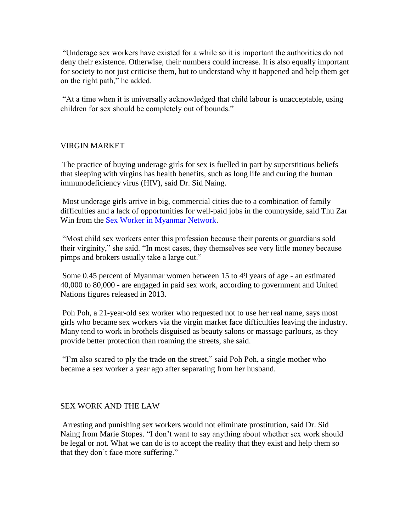"Underage sex workers have existed for a while so it is important the authorities do not deny their existence. Otherwise, their numbers could increase. It is also equally important for society to not just criticise them, but to understand why it happened and help them get on the right path," he added.

"At a time when it is universally acknowledged that child labour is unacceptable, using children for sex should be completely out of bounds."

## VIRGIN MARKET

The practice of buying underage girls for sex is fuelled in part by superstitious beliefs that sleeping with virgins has health benefits, such as long life and curing the human immunodeficiency virus (HIV), said Dr. Sid Naing.

Most underage girls arrive in big, commercial cities due to a combination of family difficulties and a lack of opportunities for well-paid jobs in the countryside, said Thu Zar Win from the [Sex Worker in Myanmar Network.](http://www.lrcmyanmar.org/en/ngo-donor-profiles/sex-worker-myanmar-network)

"Most child sex workers enter this profession because their parents or guardians sold their virginity," she said. "In most cases, they themselves see very little money because pimps and brokers usually take a large cut."

Some 0.45 percent of Myanmar women between 15 to 49 years of age - an estimated 40,000 to 80,000 - are engaged in paid sex work, according to government and United Nations figures released in 2013.

Poh Poh, a 21-year-old sex worker who requested not to use her real name, says most girls who became sex workers via the virgin market face difficulties leaving the industry. Many tend to work in brothels disguised as beauty salons or massage parlours, as they provide better protection than roaming the streets, she said.

"I'm also scared to ply the trade on the street," said Poh Poh, a single mother who became a sex worker a year ago after separating from her husband.

## SEX WORK AND THE LAW

Arresting and punishing sex workers would not eliminate prostitution, said Dr. Sid Naing from Marie Stopes. "I don't want to say anything about whether sex work should be legal or not. What we can do is to accept the reality that they exist and help them so that they don't face more suffering."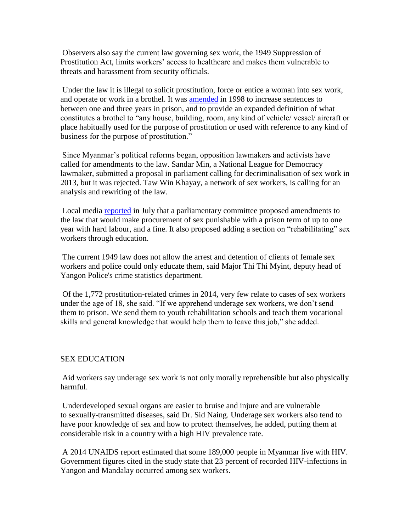Observers also say the current law governing sex work, the 1949 Suppression of Prostitution Act, limits workers' access to healthcare and makes them vulnerable to threats and harassment from security officials.

Under the law it is illegal to solicit prostitution, force or entice a woman into sex work, and operate or work in a brothel. It was **[amended](http://www.burmalibrary.org/docs15/1998-SPDC_Law1998-07-Law_Amending_the_Suppression_of_Prostitution_Act-1949-en.pdf)** in 1998 to increase sentences to between one and three years in prison, and to provide an expanded definition of what constitutes a brothel to "any house, building, room, any kind of vehicle/ vessel/ aircraft or place habitually used for the purpose of prostitution or used with reference to any kind of business for the purpose of prostitution."

Since Myanmar's political reforms began, opposition lawmakers and activists have called for amendments to the law. Sandar Min, a National League for Democracy lawmaker, submitted a proposal in parliament calling for decriminalisation of sex work in 2013, but it was rejected. Taw Win Khayay, a network of sex workers, is calling for an analysis and rewriting of the law.

Local media [reported](http://www.mmtimes.com/index.php/national-news/15628-prostitutes-customers-could-face-prison-time.html) in July that a parliamentary committee proposed amendments to the law that would make procurement of sex punishable with a prison term of up to one year with hard labour, and a fine. It also proposed adding a section on "rehabilitating" sex workers through education.

The current 1949 law does not allow the arrest and detention of clients of female sex workers and police could only educate them, said Major Thi Thi Myint, deputy head of Yangon Police's crime statistics department.

Of the 1,772 prostitution-related crimes in 2014, very few relate to cases of sex workers under the age of 18, she said. "If we apprehend underage sex workers, we don't send them to prison. We send them to youth rehabilitation schools and teach them vocational skills and general knowledge that would help them to leave this job," she added.

## SEX EDUCATION

Aid workers say underage sex work is not only morally reprehensible but also physically harmful.

Underdeveloped sexual organs are easier to bruise and injure and are vulnerable to sexually-transmitted diseases, said Dr. Sid Naing. Underage sex workers also tend to have poor knowledge of sex and how to protect themselves, he added, putting them at considerable risk in a country with a high HIV prevalence rate.

A 2014 UNAIDS report estimated that some 189,000 people in Myanmar live with HIV. Government figures cited in the study state that 23 percent of recorded HIV-infections in Yangon and Mandalay occurred among sex workers.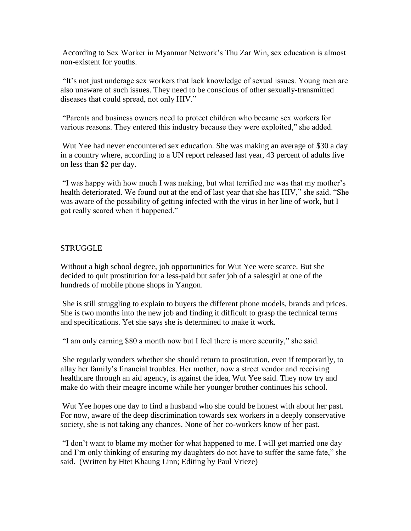According to Sex Worker in Myanmar Network's Thu Zar Win, sex education is almost non-existent for youths.

"It's not just underage sex workers that lack knowledge of sexual issues. Young men are also unaware of such issues. They need to be conscious of other sexually-transmitted diseases that could spread, not only HIV."

"Parents and business owners need to protect children who became sex workers for various reasons. They entered this industry because they were exploited," she added.

Wut Yee had never encountered sex education. She was making an average of \$30 a day in a country where, according to a UN report released last year, 43 percent of adults live on less than \$2 per day.

"I was happy with how much I was making, but what terrified me was that my mother's health deteriorated. We found out at the end of last year that she has HIV," she said. "She was aware of the possibility of getting infected with the virus in her line of work, but I got really scared when it happened."

#### **STRUGGLE**

Without a high school degree, job opportunities for Wut Yee were scarce. But she decided to quit prostitution for a less-paid but safer job of a salesgirl at one of the hundreds of mobile phone shops in Yangon.

She is still struggling to explain to buyers the different phone models, brands and prices. She is two months into the new job and finding it difficult to grasp the technical terms and specifications. Yet she says she is determined to make it work.

"I am only earning \$80 a month now but I feel there is more security," she said.

She regularly wonders whether she should return to prostitution, even if temporarily, to allay her family's financial troubles. Her mother, now a street vendor and receiving healthcare through an aid agency, is against the idea, Wut Yee said. They now try and make do with their meagre income while her younger brother continues his school.

Wut Yee hopes one day to find a husband who she could be honest with about her past. For now, aware of the deep discrimination towards sex workers in a deeply conservative society, she is not taking any chances. None of her co-workers know of her past.

"I don't want to blame my mother for what happened to me. I will get married one day and I'm only thinking of ensuring my daughters do not have to suffer the same fate," she said. (Written by Htet Khaung Linn; Editing by Paul Vrieze)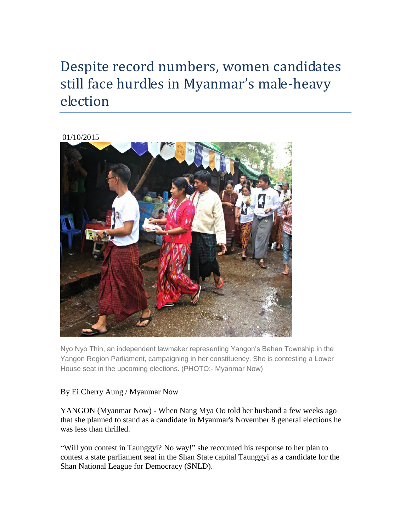# Despite record numbers, women candidates still face hurdles in Myanmar's male-heavy election

## 01/10/2015



Nyo Nyo Thin, an independent lawmaker representing Yangon's Bahan Township in the Yangon Region Parliament, campaigning in her constituency. She is contesting a Lower House seat in the upcoming elections. (PHOTO:- Myanmar Now)

## By Ei Cherry Aung / Myanmar Now

YANGON (Myanmar Now) - When Nang Mya Oo told her husband a few weeks ago that she planned to stand as a candidate in Myanmar's November 8 general elections he was less than thrilled.

"Will you contest in Taunggyi? No way!" she recounted his response to her plan to contest a state parliament seat in the Shan State capital Taunggyi as a candidate for the Shan National League for Democracy (SNLD).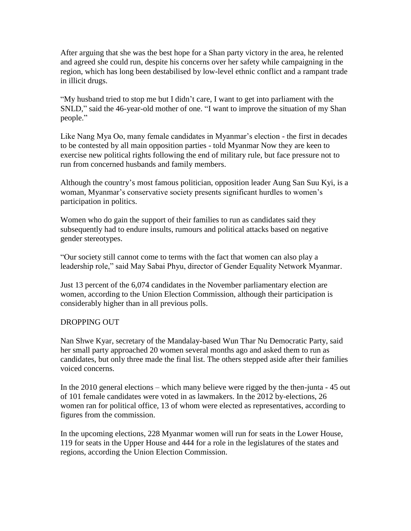After arguing that she was the best hope for a Shan party victory in the area, he relented and agreed she could run, despite his concerns over her safety while campaigning in the region, which has long been destabilised by low-level ethnic conflict and a rampant trade in illicit drugs.

"My husband tried to stop me but I didn't care, I want to get into parliament with the SNLD," said the 46-year-old mother of one. "I want to improve the situation of my Shan people."

Like Nang Mya Oo, many female candidates in Myanmar's election - the first in decades to be contested by all main opposition parties - told Myanmar Now they are keen to exercise new political rights following the end of military rule, but face pressure not to run from concerned husbands and family members.

Although the country's most famous politician, opposition leader Aung San Suu Kyi, is a woman, Myanmar's conservative society presents significant hurdles to women's participation in politics.

Women who do gain the support of their families to run as candidates said they subsequently had to endure insults, rumours and political attacks based on negative gender stereotypes.

"Our society still cannot come to terms with the fact that women can also play a leadership role," said May Sabai Phyu, director of Gender Equality Network Myanmar.

Just 13 percent of the 6,074 candidates in the November parliamentary election are women, according to the Union Election Commission, although their participation is considerably higher than in all previous polls.

## DROPPING OUT

Nan Shwe Kyar, secretary of the Mandalay-based Wun Thar Nu Democratic Party, said her small party approached 20 women several months ago and asked them to run as candidates, but only three made the final list. The others stepped aside after their families voiced concerns.

In the 2010 general elections – which many believe were rigged by the then-junta - 45 out of 101 female candidates were voted in as lawmakers. In the 2012 by-elections, 26 women ran for political office, 13 of whom were elected as representatives, according to figures from the commission.

In the upcoming elections, 228 Myanmar women will run for seats in the Lower House, 119 for seats in the Upper House and 444 for a role in the legislatures of the states and regions, according the Union Election Commission.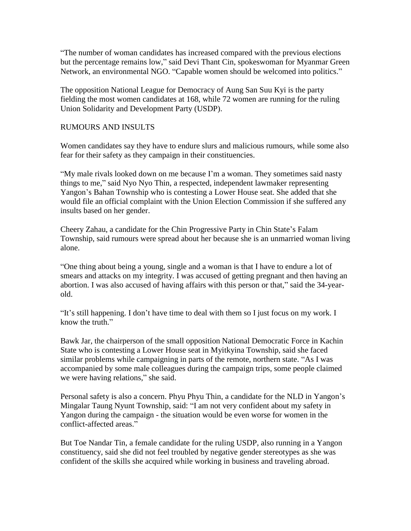"The number of woman candidates has increased compared with the previous elections but the percentage remains low," said Devi Thant Cin, spokeswoman for Myanmar Green Network, an environmental NGO. "Capable women should be welcomed into politics."

The opposition National League for Democracy of Aung San Suu Kyi is the party fielding the most women candidates at 168, while 72 women are running for the ruling Union Solidarity and Development Party (USDP).

## RUMOURS AND INSULTS

Women candidates say they have to endure slurs and malicious rumours, while some also fear for their safety as they campaign in their constituencies.

"My male rivals looked down on me because I'm a woman. They sometimes said nasty things to me," said Nyo Nyo Thin, a respected, independent lawmaker representing Yangon's Bahan Township who is contesting a Lower House seat. She added that she would file an official complaint with the Union Election Commission if she suffered any insults based on her gender.

Cheery Zahau, a candidate for the Chin Progressive Party in Chin State's Falam Township, said rumours were spread about her because she is an unmarried woman living alone.

"One thing about being a young, single and a woman is that I have to endure a lot of smears and attacks on my integrity. I was accused of getting pregnant and then having an abortion. I was also accused of having affairs with this person or that," said the 34-yearold.

"It's still happening. I don't have time to deal with them so I just focus on my work. I know the truth."

Bawk Jar, the chairperson of the small opposition National Democratic Force in Kachin State who is contesting a Lower House seat in Myitkyina Township, said she faced similar problems while campaigning in parts of the remote, northern state. "As I was accompanied by some male colleagues during the campaign trips, some people claimed we were having relations," she said.

Personal safety is also a concern. Phyu Phyu Thin, a candidate for the NLD in Yangon's Mingalar Taung Nyunt Township, said: "I am not very confident about my safety in Yangon during the campaign - the situation would be even worse for women in the conflict-affected areas."

But Toe Nandar Tin, a female candidate for the ruling USDP, also running in a Yangon constituency, said she did not feel troubled by negative gender stereotypes as she was confident of the skills she acquired while working in business and traveling abroad.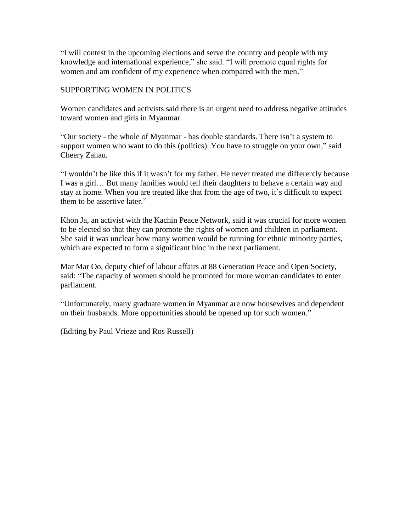"I will contest in the upcoming elections and serve the country and people with my knowledge and international experience," she said. "I will promote equal rights for women and am confident of my experience when compared with the men."

## SUPPORTING WOMEN IN POLITICS

Women candidates and activists said there is an urgent need to address negative attitudes toward women and girls in Myanmar.

"Our society - the whole of Myanmar - has double standards. There isn't a system to support women who want to do this (politics). You have to struggle on your own," said Cheery Zahau.

"I wouldn't be like this if it wasn't for my father. He never treated me differently because I was a girl… But many families would tell their daughters to behave a certain way and stay at home. When you are treated like that from the age of two, it's difficult to expect them to be assertive later."

Khon Ja, an activist with the Kachin Peace Network, said it was crucial for more women to be elected so that they can promote the rights of women and children in parliament. She said it was unclear how many women would be running for ethnic minority parties, which are expected to form a significant bloc in the next parliament.

Mar Mar Oo, deputy chief of labour affairs at 88 Generation Peace and Open Society, said: "The capacity of women should be promoted for more woman candidates to enter parliament.

"Unfortunately, many graduate women in Myanmar are now housewives and dependent on their husbands. More opportunities should be opened up for such women."

(Editing by Paul Vrieze and Ros Russell)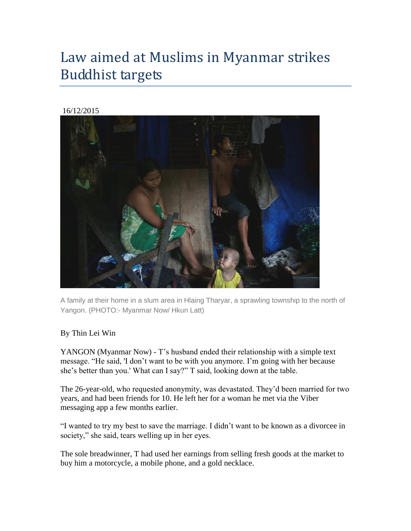# Law aimed at Muslims in Myanmar strikes Buddhist targets

## 16/12/2015



A family at their home in a slum area in Hlaing Tharyar, a sprawling township to the north of Yangon. (PHOTO:- Myanmar Now/ Hkun Latt)

## By Thin Lei Win

YANGON (Myanmar Now) - T's husband ended their relationship with a simple text message. "He said, 'I don't want to be with you anymore. I'm going with her because she's better than you.' What can I say?" T said, looking down at the table.

The 26-year-old, who requested anonymity, was devastated. They'd been married for two years, and had been friends for 10. He left her for a woman he met via the Viber messaging app a few months earlier.

"I wanted to try my best to save the marriage. I didn't want to be known as a divorcee in society," she said, tears welling up in her eyes.

The sole breadwinner, T had used her earnings from selling fresh goods at the market to buy him a motorcycle, a mobile phone, and a gold necklace.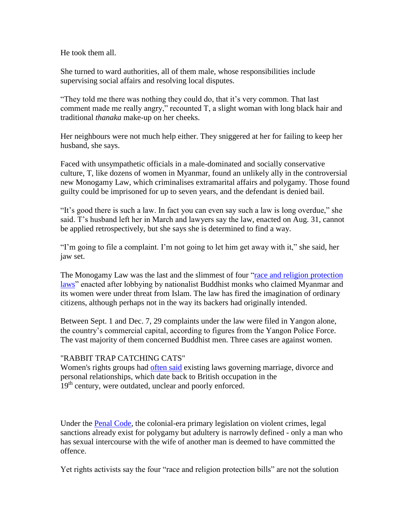He took them all.

She turned to ward authorities, all of them male, whose responsibilities include supervising social affairs and resolving local disputes.

"They told me there was nothing they could do, that it's very common. That last comment made me really angry," recounted T, a slight woman with long black hair and traditional *thanaka* make-up on her cheeks.

Her neighbours were not much help either. They sniggered at her for failing to keep her husband, she says.

Faced with unsympathetic officials in a male-dominated and socially conservative culture, T, like dozens of women in Myanmar, found an unlikely ally in the controversial new Monogamy Law, which criminalises extramarital affairs and polygamy. Those found guilty could be imprisoned for up to seven years, and the defendant is denied bail.

"It's good there is such a law. In fact you can even say such a law is long overdue," she said. T's husband left her in March and lawyers say the law, enacted on Aug. 31, cannot be applied retrospectively, but she says she is determined to find a way.

"I'm going to file a complaint. I'm not going to let him get away with it," she said, her jaw set.

The Monogamy Law was the last and the slimmest of four "race and [religion protection](http://https/www.hrw.org/news/2015/08/23/burma-discriminatory-laws-could-stoke-communal-tensions)  [laws"](http://https/www.hrw.org/news/2015/08/23/burma-discriminatory-laws-could-stoke-communal-tensions) enacted after lobbying by nationalist Buddhist monks who claimed Myanmar and its women were under threat from Islam. The law has fired the imagination of ordinary citizens, although perhaps not in the way its backers had originally intended.

Between Sept. 1 and Dec. 7, 29 complaints under the law were filed in Yangon alone, the country's commercial capital, according to figures from the Yangon Police Force. The vast majority of them concerned Buddhist men. Three cases are against women.

## "RABBIT TRAP CATCHING CATS"

Women's rights groups had [often said](http://www.reuters.com/article/2014/09/30/us-foundation-myanmar-womensrights-idUSKCN0HP1VD20140930#rlKE4Jekw0kCZP44.97) existing laws governing marriage, divorce and personal relationships, which date back to British occupation in the 19<sup>th</sup> century, were outdated, unclear and poorly enforced.

Under the [Penal Code,](http://www.burmalibrary.org/docs6/MYANMAR_PENAL_CODE-corr.1.pdf) the colonial-era primary legislation on violent crimes, legal sanctions already exist for polygamy but adultery is narrowly defined - only a man who has sexual intercourse with the wife of another man is deemed to have committed the offence.

Yet rights activists say the four "race and religion protection bills" are not the solution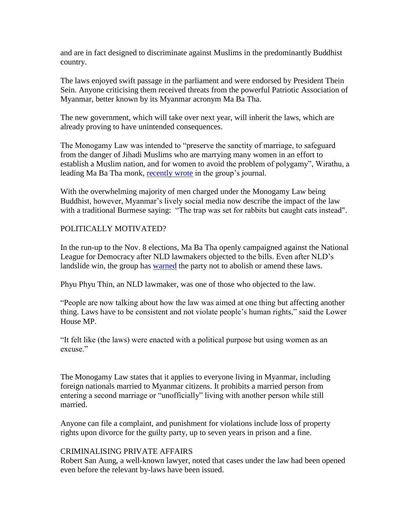and are in fact designed to discriminate against Muslims in the predominantly Buddhist country.

The laws enjoyed swift passage in the parliament and were endorsed by President Thein Sein. Anyone criticising them received threats from the powerful Patriotic Association of Myanmar, better known by its Myanmar acronym Ma Ba Tha.

The new government, which will take over next year, will inherit the laws, which are already proving to have unintended consequences.

The Monogamy Law was intended to "preserve the sanctity of marriage, to safeguard from the danger of Jihadi Muslims who are marrying many women in an effort to establish a Muslim nation, and for women to avoid the problem of polygamy", Wirathu, a leading Ma Ba Tha monk, [recently](https://www.facebook.com/photo.php?fbid=751985244944986&set=pcb.751985324944978&type=3&theater) wrote in the group's journal.

With the overwhelming majority of men charged under the Monogamy Law being Buddhist, however, Myanmar's lively social media now describe the impact of the law with a traditional Burmese saying: "The trap was set for rabbits but caught cats instead".

## POLITICALLY MOTIVATED?

In the run-up to the Nov. 8 elections, Ma Ba Tha openly campaigned against the National League for Democracy after NLD lawmakers objected to the bills. Even after NLD's landslide win, the group has [warned](http://www.myanmar-now.org/news/i/?id=a47e95e7-cc5d-47d6-91d3-72aab808fe5b) the party not to abolish or amend these laws.

Phyu Phyu Thin, an NLD lawmaker, was one of those who objected to the law.

"People are now talking about how the law was aimed at one thing but affecting another thing. Laws have to be consistent and not violate people's human rights," said the Lower House MP.

"It felt like (the laws) were enacted with a political purpose but using women as an excuse."

The Monogamy Law states that it applies to everyone living in Myanmar, including foreign nationals married to Myanmar citizens. It prohibits a married person from entering a second marriage or "unofficially" living with another person while still married.

Anyone can file a complaint, and punishment for violations include loss of property rights upon divorce for the guilty party, up to seven years in prison and a fine.

## CRIMINALISING PRIVATE AFFAIRS

Robert San Aung, a well-known lawyer, noted that cases under the law had been opened even before the relevant by-laws have been issued.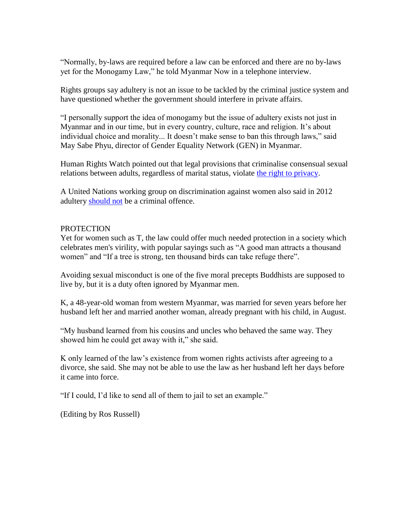"Normally, by-laws are required before a law can be enforced and there are no by-laws yet for the Monogamy Law," he told Myanmar Now in a telephone interview.

Rights groups say adultery is not an issue to be tackled by the criminal justice system and have questioned whether the government should interfere in private affairs.

"I personally support the idea of monogamy but the issue of adultery exists not just in Myanmar and in our time, but in every country, culture, race and religion. It's about individual choice and morality... It doesn't make sense to ban this through laws," said May Sabe Phyu, director of Gender Equality Network (GEN) in Myanmar.

Human Rights Watch pointed out that legal provisions that criminalise consensual sexual relations between adults, regardless of marital status, violate [the right to privacy.](http://https/www.hrw.org/news/2015/08/23/burma-discriminatory-laws-could-stoke-communal-tensions)

A United Nations working group on discrimination against women also said in 2012 adultery [should not](http://www.ohchr.org/en/NewsEvents/Pages/DisplayNews.aspx?NewsID=12673&LangID=E) be a criminal offence.

#### PROTECTION

Yet for women such as T, the law could offer much needed protection in a society which celebrates men's virility, with popular sayings such as "A good man attracts a thousand women" and "If a tree is strong, ten thousand birds can take refuge there".

Avoiding sexual misconduct is one of the five moral precepts Buddhists are supposed to live by, but it is a duty often ignored by Myanmar men.

K, a 48-year-old woman from western Myanmar, was married for seven years before her husband left her and married another woman, already pregnant with his child, in August.

"My husband learned from his cousins and uncles who behaved the same way. They showed him he could get away with it," she said.

K only learned of the law's existence from women rights activists after agreeing to a divorce, she said. She may not be able to use the law as her husband left her days before it came into force.

"If I could, I'd like to send all of them to jail to set an example."

(Editing by Ros Russell)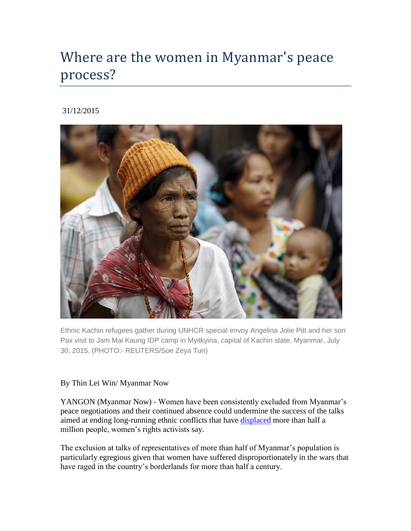# Where are the women in Myanmar's peace process?

## 31/12/2015



Ethnic Kachin refugees gather during UNHCR special envoy Angelina Jolie Pitt and her son Pax visit to Jam Mai Kaung IDP camp in Myitkyina, capital of Kachin state, Myanmar, July 30, 2015. (PHOTO:- REUTERS/Soe Zeya Tun)

## By Thin Lei Win/ Myanmar Now

YANGON (Myanmar Now) - Women have been consistently excluded from Myanmar's peace negotiations and their continued absence could undermine the success of the talks aimed at ending long-running ethnic conflicts that have [displaced](http://www.internal-displacement.org/south-and-south-east-asia/myanmar/) more than half a million people, women's rights activists say.

The exclusion at talks of representatives of more than half of Myanmar's population is particularly egregious given that women have suffered disproportionately in the wars that have raged in the country's borderlands for more than half a century.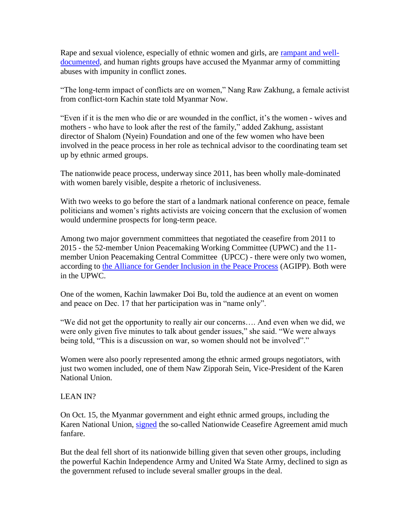Rape and sexual violence, especially of ethnic women and girls, are [rampant and well](http://reliefweb.int/report/myanmar/rights-groups-call-end-sexual-violence-impunity-conflict)[documented,](http://reliefweb.int/report/myanmar/rights-groups-call-end-sexual-violence-impunity-conflict) and human rights groups have accused the Myanmar army of committing abuses with impunity in conflict zones.

"The long-term impact of conflicts are on women," Nang Raw Zakhung, a female activist from conflict-torn Kachin state told Myanmar Now.

"Even if it is the men who die or are wounded in the conflict, it's the women - wives and mothers - who have to look after the rest of the family," added Zakhung, assistant director of Shalom (Nyein) Foundation and one of the few women who have been involved in the peace process in her role as technical advisor to the coordinating team set up by ethnic armed groups.

The nationwide peace process, underway since 2011, has been wholly male-dominated with women barely visible, despite a rhetoric of inclusiveness.

With two weeks to go before the start of a landmark national conference on peace, female politicians and women's rights activists are voicing concern that the exclusion of women would undermine prospects for long-term peace.

Among two major government committees that negotiated the ceasefire from 2011 to 2015 - the 52-member Union Peacemaking Working Committee (UPWC) and the 11 member Union Peacemaking Central Committee (UPCC) - there were only two women, according to [the Alliance for Gender Inclusion in the Peace Process](https://web.facebook.com/AGIPP-Alliance-for-Gender-Inclusion-in-the-Peace-Process-782937511834115/timeline) (AGIPP). Both were in the UPWC.

One of the women, Kachin lawmaker Doi Bu, told the audience at an event on women and peace on Dec. 17 that her participation was in "name only".

"We did not get the opportunity to really air our concerns…. And even when we did, we were only given five minutes to talk about gender issues," she said. "We were always being told, "This is a discussion on war, so women should not be involved"."

Women were also poorly represented among the ethnic armed groups negotiators, with just two women included, one of them Naw Zipporah Sein, Vice-President of the Karen National Union.

## LEAN IN?

On Oct. 15, the Myanmar government and eight ethnic armed groups, including the Karen National Union, [signed](http://www.reuters.com/article/us-myanmar-politics-idUSKCN0S82MR20151015) the so-called Nationwide Ceasefire Agreement amid much fanfare.

But the deal fell short of its nationwide billing given that seven other groups, including the powerful Kachin Independence Army and United Wa State Army, declined to sign as the government refused to include several smaller groups in the deal.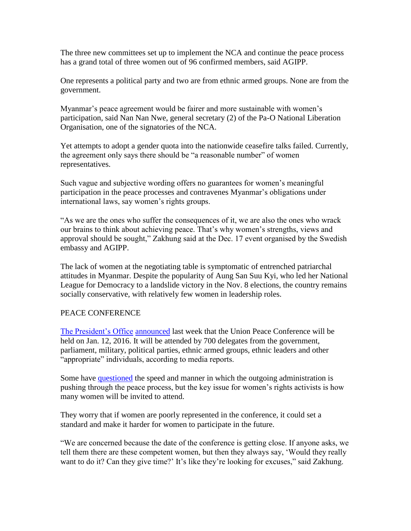The three new committees set up to implement the NCA and continue the peace process has a grand total of three women out of 96 confirmed members, said AGIPP.

One represents a political party and two are from ethnic armed groups. None are from the government.

Myanmar's peace agreement would be fairer and more sustainable with women's participation, said Nan Nan Nwe, general secretary (2) of the Pa-O National Liberation Organisation, one of the signatories of the NCA.

Yet attempts to adopt a gender quota into the nationwide ceasefire talks failed. Currently, the agreement only says there should be "a reasonable number" of women representatives.

Such vague and subjective wording offers no guarantees for women's meaningful participation in the peace processes and contravenes Myanmar's obligations under international laws, say women's rights groups.

"As we are the ones who suffer the consequences of it, we are also the ones who wrack our brains to think about achieving peace. That's why women's strengths, views and approval should be sought," Zakhung said at the Dec. 17 event organised by the Swedish embassy and AGIPP.

The lack of women at the negotiating table is symptomatic of entrenched patriarchal attitudes in Myanmar. Despite the popularity of Aung San Suu Kyi, who led her National League for Democracy to a landslide victory in the Nov. 8 elections, the country remains socially conservative, with relatively few women in leadership roles.

## PEACE CONFERENCE

[The President's Office](http://www.president-office.gov.mm/?q=briefing-room/news/2015/12/21/id-10141) [announced](http://issuu.com/gnlm7/docs/19_dec_15_gnlm) last week that the Union Peace Conference will be held on Jan. 12, 2016. It will be attended by 700 delegates from the government, parliament, military, political parties, ethnic armed groups, ethnic leaders and other "appropriate" individuals, according to media reports.

Some have [questioned](http://www.myanmar-now.org/news/i/?id=69565a50-1204-4276-83b2-a1d486d14b84) the speed and manner in which the outgoing administration is pushing through the peace process, but the key issue for women's rights activists is how many women will be invited to attend.

They worry that if women are poorly represented in the conference, it could set a standard and make it harder for women to participate in the future.

"We are concerned because the date of the conference is getting close. If anyone asks, we tell them there are these competent women, but then they always say, 'Would they really want to do it? Can they give time?' It's like they're looking for excuses," said Zakhung.